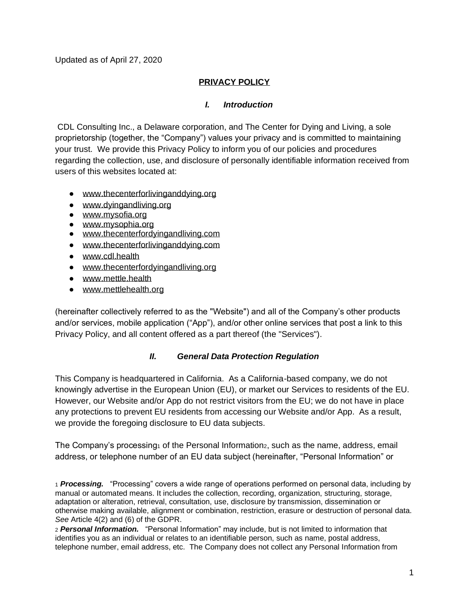Updated as of April 27, 2020

### **PRIVACY POLICY**

#### *I. Introduction*

CDL Consulting Inc., a Delaware corporation, and The Center for Dying and Living, a sole proprietorship (together, the "Company") values your privacy and is committed to maintaining your trust. We provide this Privacy Policy to inform you of our policies and procedures regarding the collection, use, and disclosure of personally identifiable information received from users of this websites located at:

- [www.thecenterforlivinganddying.org](http://www.thecenterforlivinganddying.org/)
- [www.dyingandliving.org](http://www.dyingandliving.org/)
- [www.mysofia.org](http://www.mysofia.org/)
- [www.mysophia.org](http://www.mysophia.org/)
- [www.thecenterfordyingandliving.com](http://www.thecenterfordyingandliving.com/)
- [www.thecenterforlivinganddying.com](http://www.thecenterforlivinganddying.com/)
- www.cdl.health
- [www.thecenterfordyingandliving.org](http://www.thecenterfordyingandliving.org/)
- [www.mettle.health](http://www.mettle.health/)
- www.mettlehealth.org

(hereinafter collectively referred to as the "Website") and all of the Company's other products and/or services, mobile application ("App"), and/or other online services that post a link to this Privacy Policy, and all content offered as a part thereof (the "Services").

#### *II. General Data Protection Regulation*

This Company is headquartered in California. As a California-based company, we do not knowingly advertise in the European Union (EU), or market our Services to residents of the EU. However, our Website and/or App do not restrict visitors from the EU; we do not have in place any protections to prevent EU residents from accessing our Website and/or App. As a result, we provide the foregoing disclosure to EU data subjects.

The Company's processing  $_1$  of the Personal Information, such as the name, address, email address, or telephone number of an EU data subject (hereinafter, "Personal Information" or

<sup>1</sup> *Processing.* "Processing" covers a wide range of operations performed on personal data, including by manual or automated means. It includes the collection, recording, organization, structuring, storage, adaptation or alteration, retrieval, consultation, use, disclosure by transmission, dissemination or otherwise making available, alignment or combination, restriction, erasure or destruction of personal data. *See* Article 4(2) and (6) of the GDPR.

<sup>2</sup> *Personal Information.* "Personal Information" may include, but is not limited to information that identifies you as an individual or relates to an identifiable person, such as name, postal address, telephone number, email address, etc. The Company does not collect any Personal Information from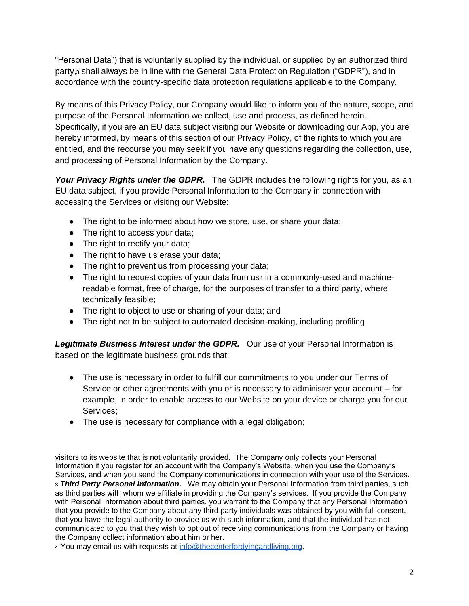"Personal Data") that is voluntarily supplied by the individual, or supplied by an authorized third party,<sup>3</sup> shall always be in line with the General Data Protection Regulation ("GDPR"), and in accordance with the country-specific data protection regulations applicable to the Company.

By means of this Privacy Policy, our Company would like to inform you of the nature, scope, and purpose of the Personal Information we collect, use and process, as defined herein. Specifically, if you are an EU data subject visiting our Website or downloading our App, you are hereby informed, by means of this section of our Privacy Policy, of the rights to which you are entitled, and the recourse you may seek if you have any questions regarding the collection, use, and processing of Personal Information by the Company.

*Your Privacy Rights under the GDPR.* The GDPR includes the following rights for you, as an EU data subject, if you provide Personal Information to the Company in connection with accessing the Services or visiting our Website:

- The right to be informed about how we store, use, or share your data;
- The right to access your data;
- The right to rectify your data;
- The right to have us erase your data;
- The right to prevent us from processing your data;
- The right to request copies of your data from us4 in a commonly-used and machinereadable format, free of charge, for the purposes of transfer to a third party, where technically feasible;
- The right to object to use or sharing of your data; and
- The right not to be subject to automated decision-making, including profiling

*Legitimate Business Interest under the GDPR.* Our use of your Personal Information is based on the legitimate business grounds that:

- The use is necessary in order to fulfill our commitments to you under our Terms of Service or other agreements with you or is necessary to administer your account – for example, in order to enable access to our Website on your device or charge you for our Services;
- The use is necessary for compliance with a legal obligation;

visitors to its website that is not voluntarily provided. The Company only collects your Personal Information if you register for an account with the Company's Website, when you use the Company's Services, and when you send the Company communications in connection with your use of the Services. <sup>3</sup> *Third Party Personal Information.* We may obtain your Personal Information from third parties, such as third parties with whom we affiliate in providing the Company's services. If you provide the Company with Personal Information about third parties, you warrant to the Company that any Personal Information that you provide to the Company about any third party individuals was obtained by you with full consent, that you have the legal authority to provide us with such information, and that the individual has not communicated to you that they wish to opt out of receiving communications from the Company or having the Company collect information about him or her.

<sup>4</sup> You may email us with requests at [info@thecenterfordyingandliving.org.](mailto:info@thecenterfordyingandliving.org)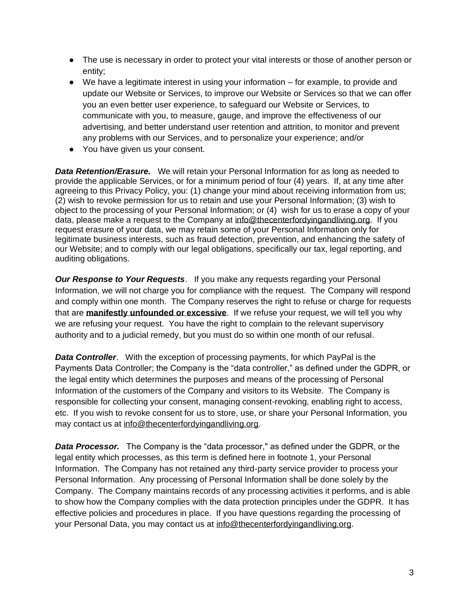- The use is necessary in order to protect your vital interests or those of another person or entity;
- $\bullet$  We have a legitimate interest in using your information  $-$  for example, to provide and update our Website or Services, to improve our Website or Services so that we can offer you an even better user experience, to safeguard our Website or Services, to communicate with you, to measure, gauge, and improve the effectiveness of our advertising, and better understand user retention and attrition, to monitor and prevent any problems with our Services, and to personalize your experience; and/or
- You have given us your consent.

**Data Retention/Erasure.** We will retain your Personal Information for as long as needed to provide the applicable Services, or for a minimum period of four (4) years. If, at any time after agreeing to this Privacy Policy, you: (1) change your mind about receiving information from us; (2) wish to revoke permission for us to retain and use your Personal Information; (3) wish to object to the processing of your Personal Information; or (4) wish for us to erase a copy of your data, please make a request to the Company at [info@thecenterfordyingandliving.org.](mailto:info@thecenterfordyingandliving.org) If you request erasure of your data, we may retain some of your Personal Information only for legitimate business interests, such as fraud detection, prevention, and enhancing the safety of our Website; and to comply with our legal obligations, specifically our tax, legal reporting, and auditing obligations.

*Our Response to Your Requests.* If you make any requests regarding your Personal Information, we will not charge you for compliance with the request. The Company will respond and comply within one month. The Company reserves the right to refuse or charge for requests that are **manifestly unfounded or excessive**. If we refuse your request, we will tell you why we are refusing your request. You have the right to complain to the relevant supervisory authority and to a judicial remedy, but you must do so within one month of our refusal.

*Data Controller*. With the exception of processing payments, for which PayPal is the Payments Data Controller; the Company is the "data controller," as defined under the GDPR, or the legal entity which determines the purposes and means of the processing of Personal Information of the customers of the Company and visitors to its Website. The Company is responsible for collecting your consent, managing consent-revoking, enabling right to access, etc. If you wish to revoke consent for us to store, use, or share your Personal Information, you may contact us at [info@thecenterfordyingandliving.org.](mailto:info@thecenterfordyingandliving.org)

*Data Processor.* The Company is the "data processor," as defined under the GDPR, or the legal entity which processes, as this term is defined here in footnote 1, your Personal Information. The Company has not retained any third-party service provider to process your Personal Information. Any processing of Personal Information shall be done solely by the Company. The Company maintains records of any processing activities it performs, and is able to show how the Company complies with the data protection principles under the GDPR. It has effective policies and procedures in place. If you have questions regarding the processing of your Personal Data, you may contact us at [info@thecenterfordyingandliving.org.](mailto:info@thecenterfordyingandliving.org)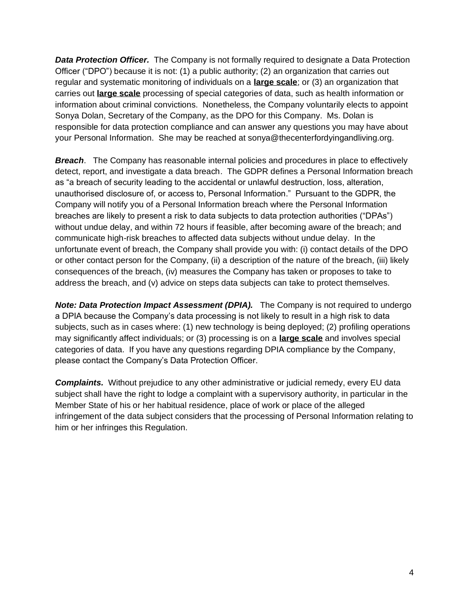**Data Protection Officer.** The Company is not formally required to designate a Data Protection Officer ("DPO") because it is not: (1) a public authority; (2) an organization that carries out regular and systematic monitoring of individuals on a **large scale**; or (3) an organization that carries out **large scale** processing of special categories of data, such as health information or information about criminal convictions. Nonetheless, the Company voluntarily elects to appoint Sonya Dolan, Secretary of the Company, as the DPO for this Company. Ms. Dolan is responsible for data protection compliance and can answer any questions you may have about your Personal Information. She may be reached at sonya@thecenterfordyingandliving.org.

**Breach**. The Company has reasonable internal policies and procedures in place to effectively detect, report, and investigate a data breach. The GDPR defines a Personal Information breach as "a breach of security leading to the accidental or unlawful destruction, loss, alteration, unauthorised disclosure of, or access to, Personal Information." Pursuant to the GDPR, the Company will notify you of a Personal Information breach where the Personal Information breaches are likely to present a risk to data subjects to data protection authorities ("DPAs") without undue delay, and within 72 hours if feasible, after becoming aware of the breach; and communicate high-risk breaches to affected data subjects without undue delay. In the unfortunate event of breach, the Company shall provide you with: (i) contact details of the DPO or other contact person for the Company, (ii) a description of the nature of the breach, (iii) likely consequences of the breach, (iv) measures the Company has taken or proposes to take to address the breach, and (v) advice on steps data subjects can take to protect themselves.

*Note: Data Protection Impact Assessment (DPIA).* The Company is not required to undergo a DPIA because the Company's data processing is not likely to result in a high risk to data subjects, such as in cases where: (1) new technology is being deployed; (2) profiling operations may significantly affect individuals; or (3) processing is on a **large scale** and involves special categories of data. If you have any questions regarding DPIA compliance by the Company, please contact the Company's Data Protection Officer.

*Complaints.* Without prejudice to any other administrative or judicial remedy, every EU data subject shall have the right to lodge a complaint with a supervisory authority, in particular in the Member State of his or her habitual residence, place of work or place of the alleged infringement of the data subject considers that the processing of Personal Information relating to him or her infringes this Regulation.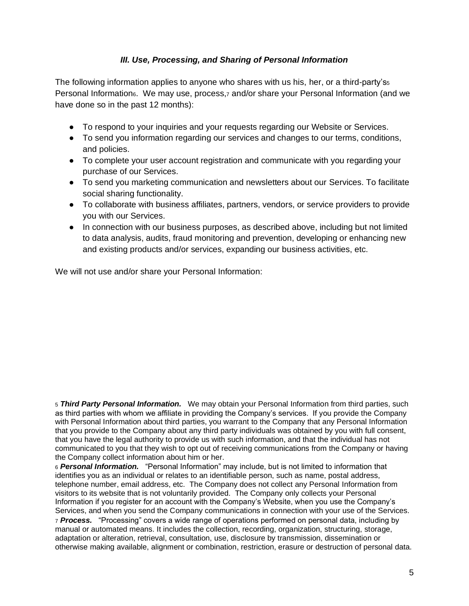### *III. Use, Processing, and Sharing of Personal Information*

The following information applies to anyone who shares with us his, her, or a third-party's<sup>5</sup> Personal Information<sub>6</sub>. We may use, process,<sub>7</sub> and/or share your Personal Information (and we have done so in the past 12 months):

- To respond to your inquiries and your requests regarding our Website or Services.
- To send you information regarding our services and changes to our terms, conditions, and policies.
- To complete your user account registration and communicate with you regarding your purchase of our Services.
- To send you marketing communication and newsletters about our Services. To facilitate social sharing functionality.
- To collaborate with business affiliates, partners, vendors, or service providers to provide you with our Services.
- In connection with our business purposes, as described above, including but not limited to data analysis, audits, fraud monitoring and prevention, developing or enhancing new and existing products and/or services, expanding our business activities, etc.

We will not use and/or share your Personal Information:

<sup>5</sup> *Third Party Personal Information.* We may obtain your Personal Information from third parties, such as third parties with whom we affiliate in providing the Company's services. If you provide the Company with Personal Information about third parties, you warrant to the Company that any Personal Information that you provide to the Company about any third party individuals was obtained by you with full consent, that you have the legal authority to provide us with such information, and that the individual has not communicated to you that they wish to opt out of receiving communications from the Company or having the Company collect information about him or her.

<sup>6</sup> *Personal Information.* "Personal Information" may include, but is not limited to information that identifies you as an individual or relates to an identifiable person, such as name, postal address, telephone number, email address, etc. The Company does not collect any Personal Information from visitors to its website that is not voluntarily provided. The Company only collects your Personal Information if you register for an account with the Company's Website, when you use the Company's Services, and when you send the Company communications in connection with your use of the Services. <sup>7</sup> *Process.* "Processing" covers a wide range of operations performed on personal data, including by manual or automated means. It includes the collection, recording, organization, structuring, storage, adaptation or alteration, retrieval, consultation, use, disclosure by transmission, dissemination or otherwise making available, alignment or combination, restriction, erasure or destruction of personal data.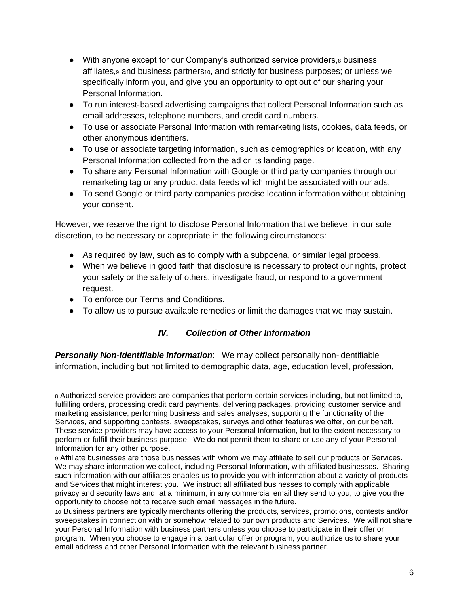- With anyone except for our Company's authorized service providers, $8$  business affiliates,<sub>9</sub> and business partners<sub>10</sub>, and strictly for business purposes; or unless we specifically inform you, and give you an opportunity to opt out of our sharing your Personal Information.
- To run interest-based advertising campaigns that collect Personal Information such as email addresses, telephone numbers, and credit card numbers.
- To use or associate Personal Information with remarketing lists, cookies, data feeds, or other anonymous identifiers.
- To use or associate targeting information, such as demographics or location, with any Personal Information collected from the ad or its landing page.
- To share any Personal Information with Google or third party companies through our remarketing tag or any product data feeds which might be associated with our ads.
- To send Google or third party companies precise location information without obtaining your consent.

However, we reserve the right to disclose Personal Information that we believe, in our sole discretion, to be necessary or appropriate in the following circumstances:

- As required by law, such as to comply with a subpoena, or similar legal process.
- When we believe in good faith that disclosure is necessary to protect our rights, protect your safety or the safety of others, investigate fraud, or respond to a government request.
- To enforce our Terms and Conditions.
- To allow us to pursue available remedies or limit the damages that we may sustain.

### *IV. Collection of Other Information*

*Personally Non-Identifiable Information*: We may collect personally non-identifiable information, including but not limited to demographic data, age, education level, profession,

<sup>8</sup> Authorized service providers are companies that perform certain services including, but not limited to, fulfilling orders, processing credit card payments, delivering packages, providing customer service and marketing assistance, performing business and sales analyses, supporting the functionality of the Services, and supporting contests, sweepstakes, surveys and other features we offer, on our behalf. These service providers may have access to your Personal Information, but to the extent necessary to perform or fulfill their business purpose. We do not permit them to share or use any of your Personal Information for any other purpose.

<sup>9</sup> Affiliate businesses are those businesses with whom we may affiliate to sell our products or Services. We may share information we collect, including Personal Information, with affiliated businesses. Sharing such information with our affiliates enables us to provide you with information about a variety of products and Services that might interest you. We instruct all affiliated businesses to comply with applicable privacy and security laws and, at a minimum, in any commercial email they send to you, to give you the opportunity to choose not to receive such email messages in the future.

<sup>10</sup> Business partners are typically merchants offering the products, services, promotions, contests and/or sweepstakes in connection with or somehow related to our own products and Services. We will not share your Personal Information with business partners unless you choose to participate in their offer or program. When you choose to engage in a particular offer or program, you authorize us to share your email address and other Personal Information with the relevant business partner.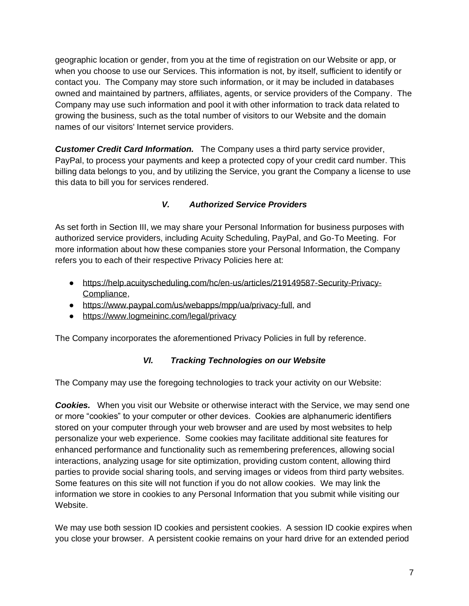geographic location or gender, from you at the time of registration on our Website or app, or when you choose to use our Services. This information is not, by itself, sufficient to identify or contact you. The Company may store such information, or it may be included in databases owned and maintained by partners, affiliates, agents, or service providers of the Company. The Company may use such information and pool it with other information to track data related to growing the business, such as the total number of visitors to our Website and the domain names of our visitors' Internet service providers.

*Customer Credit Card Information.* The Company uses a third party service provider, PayPal, to process your payments and keep a protected copy of your credit card number. This billing data belongs to you, and by utilizing the Service, you grant the Company a license to use this data to bill you for services rendered.

## *V. Authorized Service Providers*

As set forth in Section III, we may share your Personal Information for business purposes with authorized service providers, including Acuity Scheduling, PayPal, and Go-To Meeting. For more information about how these companies store your Personal Information, the Company refers you to each of their respective Privacy Policies here at:

- [https://help.acuityscheduling.com/hc/en-us/articles/219149587-Security-Privacy-](https://help.acuityscheduling.com/hc/en-us/articles/219149587-Security-Privacy-Compliance)[Compliance,](https://help.acuityscheduling.com/hc/en-us/articles/219149587-Security-Privacy-Compliance)
- [https://www.paypal.com/us/webapps/mpp/ua/privacy-full,](https://www.paypal.com/us/webapps/mpp/ua/privacy-full) and
- <https://www.logmeininc.com/legal/privacy>

The Company incorporates the aforementioned Privacy Policies in full by reference.

### *VI. Tracking Technologies on our Website*

The Company may use the foregoing technologies to track your activity on our Website:

*Cookies.* When you visit our Website or otherwise interact with the Service, we may send one or more "cookies" to your computer or other devices. Cookies are alphanumeric identifiers stored on your computer through your web browser and are used by most websites to help personalize your web experience. Some cookies may facilitate additional site features for enhanced performance and functionality such as remembering preferences, allowing social interactions, analyzing usage for site optimization, providing custom content, allowing third parties to provide social sharing tools, and serving images or videos from third party websites. Some features on this site will not function if you do not allow cookies. We may link the information we store in cookies to any Personal Information that you submit while visiting our Website.

We may use both session ID cookies and persistent cookies. A session ID cookie expires when you close your browser. A persistent cookie remains on your hard drive for an extended period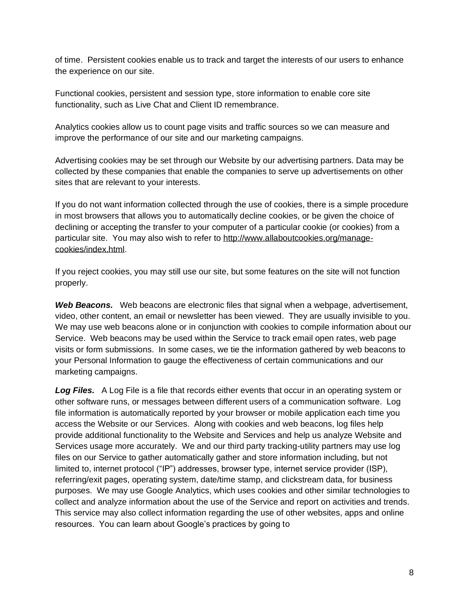of time. Persistent cookies enable us to track and target the interests of our users to enhance the experience on our site.

Functional cookies, persistent and session type, store information to enable core site functionality, such as Live Chat and Client ID remembrance.

Analytics cookies allow us to count page visits and traffic sources so we can measure and improve the performance of our site and our marketing campaigns.

Advertising cookies may be set through our Website by our advertising partners. Data may be collected by these companies that enable the companies to serve up advertisements on other sites that are relevant to your interests.

If you do not want information collected through the use of cookies, there is a simple procedure in most browsers that allows you to automatically decline cookies, or be given the choice of declining or accepting the transfer to your computer of a particular cookie (or cookies) from a particular site. You may also wish to refer to [http://www.allaboutcookies.org/manage](http://www.allaboutcookies.org/manage-cookies/index.html)[cookies/index.html.](http://www.allaboutcookies.org/manage-cookies/index.html)

If you reject cookies, you may still use our site, but some features on the site will not function properly.

*Web Beacons.* Web beacons are electronic files that signal when a webpage, advertisement, video, other content, an email or newsletter has been viewed. They are usually invisible to you. We may use web beacons alone or in conjunction with cookies to compile information about our Service. Web beacons may be used within the Service to track email open rates, web page visits or form submissions. In some cases, we tie the information gathered by web beacons to your Personal Information to gauge the effectiveness of certain communications and our marketing campaigns.

**Log Files.** A Log File is a file that records either events that occur in an operating system or other software runs, or messages between different users of a communication software. Log file information is automatically reported by your browser or mobile application each time you access the Website or our Services. Along with cookies and web beacons, log files help provide additional functionality to the Website and Services and help us analyze Website and Services usage more accurately. We and our third party tracking-utility partners may use log files on our Service to gather automatically gather and store information including, but not limited to, internet protocol ("IP") addresses, browser type, internet service provider (ISP), referring/exit pages, operating system, date/time stamp, and clickstream data, for business purposes. We may use Google Analytics, which uses cookies and other similar technologies to collect and analyze information about the use of the Service and report on activities and trends. This service may also collect information regarding the use of other websites, apps and online resources. You can learn about Google's practices by going to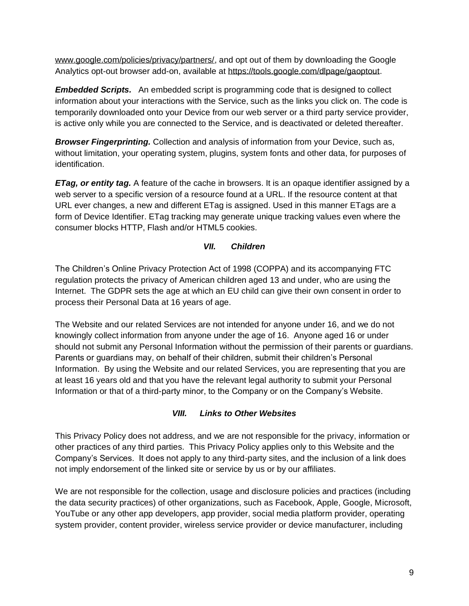[www.google.com/policies/privacy/partners/,](http://www.google.com/policies/privacy/partners/) and opt out of them by downloading the Google Analytics opt-out browser add-on, available at [https://tools.google.com/dlpage/gaoptout.](https://tools.google.com/dlpage/gaoptout)

*Embedded Scripts.* An embedded script is programming code that is designed to collect information about your interactions with the Service, such as the links you click on. The code is temporarily downloaded onto your Device from our web server or a third party service provider, is active only while you are connected to the Service, and is deactivated or deleted thereafter.

*Browser Fingerprinting.* Collection and analysis of information from your Device, such as, without limitation, your operating system, plugins, system fonts and other data, for purposes of identification.

*ETag, or entity tag.* A feature of the cache in browsers. It is an opaque identifier assigned by a web server to a specific version of a resource found at a URL. If the resource content at that URL ever changes, a new and different ETag is assigned. Used in this manner ETags are a form of Device Identifier. ETag tracking may generate unique tracking values even where the consumer blocks HTTP, Flash and/or HTML5 cookies.

# *VII. Children*

The Children's Online Privacy Protection Act of 1998 (COPPA) and its accompanying FTC regulation protects the privacy of American children aged 13 and under, who are using the Internet. The GDPR sets the age at which an EU child can give their own consent in order to process their Personal Data at 16 years of age.

The Website and our related Services are not intended for anyone under 16, and we do not knowingly collect information from anyone under the age of 16. Anyone aged 16 or under should not submit any Personal Information without the permission of their parents or guardians. Parents or guardians may, on behalf of their children, submit their children's Personal Information. By using the Website and our related Services, you are representing that you are at least 16 years old and that you have the relevant legal authority to submit your Personal Information or that of a third-party minor, to the Company or on the Company's Website.

# *VIII. Links to Other Websites*

This Privacy Policy does not address, and we are not responsible for the privacy, information or other practices of any third parties. This Privacy Policy applies only to this Website and the Company's Services. It does not apply to any third-party sites, and the inclusion of a link does not imply endorsement of the linked site or service by us or by our affiliates.

We are not responsible for the collection, usage and disclosure policies and practices (including the data security practices) of other organizations, such as Facebook, Apple, Google, Microsoft, YouTube or any other app developers, app provider, social media platform provider, operating system provider, content provider, wireless service provider or device manufacturer, including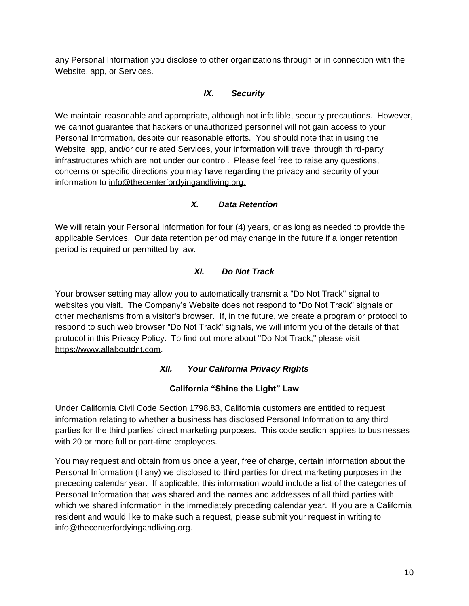any Personal Information you disclose to other organizations through or in connection with the Website, app, or Services.

## *IX. Security*

We maintain reasonable and appropriate, although not infallible, security precautions. However, we cannot guarantee that hackers or unauthorized personnel will not gain access to your Personal Information, despite our reasonable efforts. You should note that in using the Website, app, and/or our related Services, your information will travel through third-party infrastructures which are not under our control. Please feel free to raise any questions, concerns or specific directions you may have regarding the privacy and security of your information to [info@thecenterfordyingandliving.org.](mailto:info@thecenterfordyingandliving.org)

### *X. Data Retention*

We will retain your Personal Information for four (4) years, or as long as needed to provide the applicable Services. Our data retention period may change in the future if a longer retention period is required or permitted by law.

## *XI. Do Not Track*

Your browser setting may allow you to automatically transmit a "Do Not Track" signal to websites you visit. The Company's Website does not respond to "Do Not Track" signals or other mechanisms from a visitor's browser. If, in the future, we create a program or protocol to respond to such web browser "Do Not Track" signals, we will inform you of the details of that protocol in this Privacy Policy. To find out more about "Do Not Track," please visit [https://www.allaboutdnt.com.](https://www.allaboutdnt.com/)

### *XII. Your California Privacy Rights*

### **California "Shine the Light" Law**

Under California Civil Code Section 1798.83, California customers are entitled to request information relating to whether a business has disclosed Personal Information to any third parties for the third parties' direct marketing purposes. This code section applies to businesses with 20 or more full or part-time employees.

You may request and obtain from us once a year, free of charge, certain information about the Personal Information (if any) we disclosed to third parties for direct marketing purposes in the preceding calendar year. If applicable, this information would include a list of the categories of Personal Information that was shared and the names and addresses of all third parties with which we shared information in the immediately preceding calendar year. If you are a California resident and would like to make such a request, please submit your request in writing to [info@thecenterfordyingandliving.org.](mailto:info@thecenterfordyingandliving.org)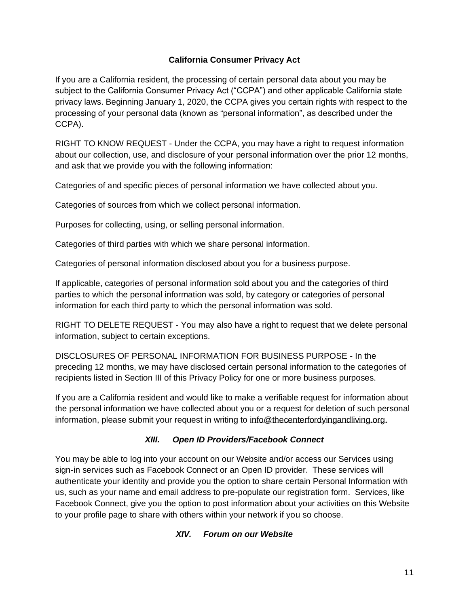### **California Consumer Privacy Act**

If you are a California resident, the processing of certain personal data about you may be subject to the California Consumer Privacy Act ("CCPA") and other applicable California state privacy laws. Beginning January 1, 2020, the CCPA gives you certain rights with respect to the processing of your personal data (known as "personal information", as described under the CCPA).

RIGHT TO KNOW REQUEST - Under the CCPA, you may have a right to request information about our collection, use, and disclosure of your personal information over the prior 12 months, and ask that we provide you with the following information:

Categories of and specific pieces of personal information we have collected about you.

Categories of sources from which we collect personal information.

Purposes for collecting, using, or selling personal information.

Categories of third parties with which we share personal information.

Categories of personal information disclosed about you for a business purpose.

If applicable, categories of personal information sold about you and the categories of third parties to which the personal information was sold, by category or categories of personal information for each third party to which the personal information was sold.

RIGHT TO DELETE REQUEST - You may also have a right to request that we delete personal information, subject to certain exceptions.

DISCLOSURES OF PERSONAL INFORMATION FOR BUSINESS PURPOSE - In the preceding 12 months, we may have disclosed certain personal information to the categories of recipients listed in Section III of this Privacy Policy for one or more business purposes.

If you are a California resident and would like to make a verifiable request for information about the personal information we have collected about you or a request for deletion of such personal information, please submit your request in writing to [info@thecenterfordyingandliving.org.](mailto:info@thecenterfordyingandliving.org)

### *XIII. Open ID Providers/Facebook Connect*

You may be able to log into your account on our Website and/or access our Services using sign-in services such as Facebook Connect or an Open ID provider. These services will authenticate your identity and provide you the option to share certain Personal Information with us, such as your name and email address to pre-populate our registration form. Services, like Facebook Connect, give you the option to post information about your activities on this Website to your profile page to share with others within your network if you so choose.

### *XIV. Forum on our Website*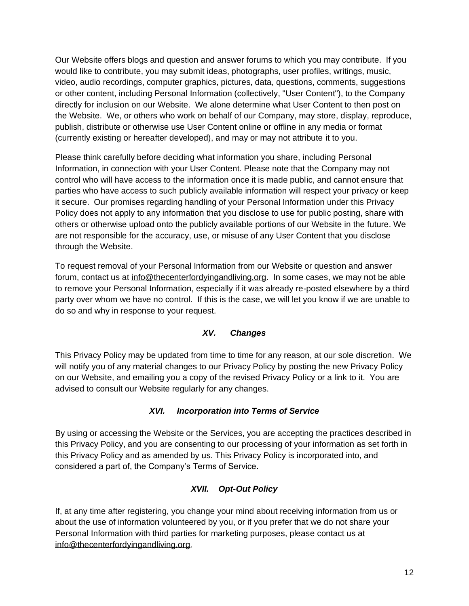Our Website offers blogs and question and answer forums to which you may contribute. If you would like to contribute, you may submit ideas, photographs, user profiles, writings, music, video, audio recordings, computer graphics, pictures, data, questions, comments, suggestions or other content, including Personal Information (collectively, "User Content"), to the Company directly for inclusion on our Website. We alone determine what User Content to then post on the Website. We, or others who work on behalf of our Company, may store, display, reproduce, publish, distribute or otherwise use User Content online or offline in any media or format (currently existing or hereafter developed), and may or may not attribute it to you.

Please think carefully before deciding what information you share, including Personal Information, in connection with your User Content. Please note that the Company may not control who will have access to the information once it is made public, and cannot ensure that parties who have access to such publicly available information will respect your privacy or keep it secure. Our promises regarding handling of your Personal Information under this Privacy Policy does not apply to any information that you disclose to use for public posting, share with others or otherwise upload onto the publicly available portions of our Website in the future. We are not responsible for the accuracy, use, or misuse of any User Content that you disclose through the Website.

To request removal of your Personal Information from our Website or question and answer forum, contact us at [info@thecenterfordyingandliving.org.](mailto:info@thecenterfordyingandliving.org) In some cases, we may not be able to remove your Personal Information, especially if it was already re-posted elsewhere by a third party over whom we have no control. If this is the case, we will let you know if we are unable to do so and why in response to your request.

# *XV. Changes*

This Privacy Policy may be updated from time to time for any reason, at our sole discretion. We will notify you of any material changes to our Privacy Policy by posting the new Privacy Policy on our Website, and emailing you a copy of the revised Privacy Policy or a link to it. You are advised to consult our Website regularly for any changes.

### *XVI. Incorporation into Terms of Service*

By using or accessing the Website or the Services, you are accepting the practices described in this Privacy Policy, and you are consenting to our processing of your information as set forth in this Privacy Policy and as amended by us. This Privacy Policy is incorporated into, and considered a part of, the Company's Terms of Service.

# *XVII. Opt-Out Policy*

If, at any time after registering, you change your mind about receiving information from us or about the use of information volunteered by you, or if you prefer that we do not share your Personal Information with third parties for marketing purposes, please contact us at [info@thecenterfordyingandliving.org.](mailto:info@thecenterfordyingandliving.org)